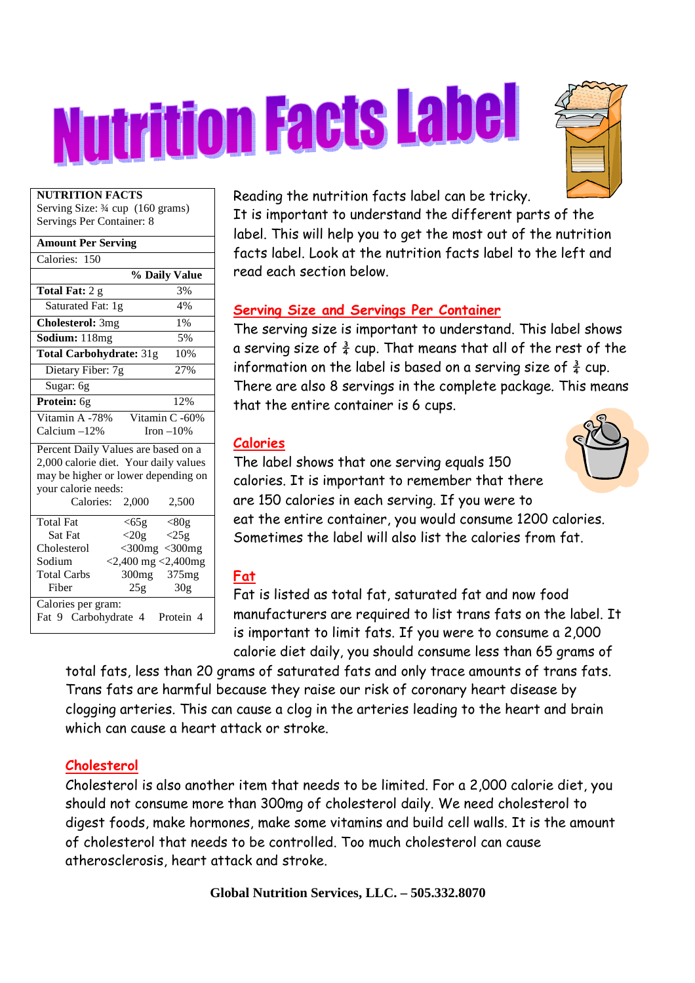# Nutrition Facts Label



#### **NUTRITION FACTS**

Serving Size: ¾ cup (160 grams) Servings Per Container: 8

| <b>Amount Per Serving</b>                       |
|-------------------------------------------------|
| Calories: 150                                   |
| % Daily Value                                   |
| Total Fat: 2 g<br>3%                            |
| 4%<br>Saturated Fat: 1g                         |
| <b>Cholesterol: 3mg</b><br>1%                   |
| Sodium: 118mg<br>5%                             |
| Total Carbohydrate: 31g<br>10%                  |
| 27%<br>Dietary Fiber: 7g                        |
| Sugar: 6g                                       |
| 12%<br>Protein: 6g                              |
| Vitamin A -78%<br>Vitamin C -60%                |
| Calcium -12%<br>Iron $-10%$                     |
| Percent Daily Values are based on a             |
| 2,000 calorie diet. Your daily values           |
| may be higher or lower depending on             |
| your calorie needs:                             |
| Calories: 2,000<br>2,500                        |
| <b>Total Fat</b><br>$<$ 65 $g$<br>$\langle 80g$ |
| Sat Fat<br>$<$ 20g<br>$\langle 25g$             |
| Cholesterol<br>$<$ 300 $mg$ $<$ 300 $mg$        |
| $<$ 2,400 mg $<$ 2,400mg<br>Sodium              |
| <b>Total Carbs</b><br>300mg 375mg               |
| Fiber<br>30 <sub>g</sub><br>25g                 |
| Calories per gram:                              |
| Fat 9 Carbohydrate 4<br>Protein 4               |

Reading the nutrition facts label can be tricky.

It is important to understand the different parts of the label. This will help you to get the most out of the nutrition facts label. Look at the nutrition facts label to the left and read each section below.

#### **Serving Size and Servings Per Container**

The serving size is important to understand. This label shows a serving size of  $\frac{3}{4}$  cup. That means that all of the rest of the information on the label is based on a serving size of  $\frac{3}{4}$  cup. There are also 8 servings in the complete package. This means that the entire container is 6 cups.

# **Calories**



The label shows that one serving equals 150 calories. It is important to remember that there are 150 calories in each serving. If you were to eat the entire container, you would consume 1200 calories. Sometimes the label will also list the calories from fat.

# **Fat**

Fat is listed as total fat, saturated fat and now food manufacturers are required to list trans fats on the label. It is important to limit fats. If you were to consume a 2,000 calorie diet daily, you should consume less than 65 grams of

total fats, less than 20 grams of saturated fats and only trace amounts of trans fats. Trans fats are harmful because they raise our risk of coronary heart disease by clogging arteries. This can cause a clog in the arteries leading to the heart and brain which can cause a heart attack or stroke.

# **Cholesterol**

Cholesterol is also another item that needs to be limited. For a 2,000 calorie diet, you should not consume more than 300mg of cholesterol daily. We need cholesterol to digest foods, make hormones, make some vitamins and build cell walls. It is the amount of cholesterol that needs to be controlled. Too much cholesterol can cause atherosclerosis, heart attack and stroke.